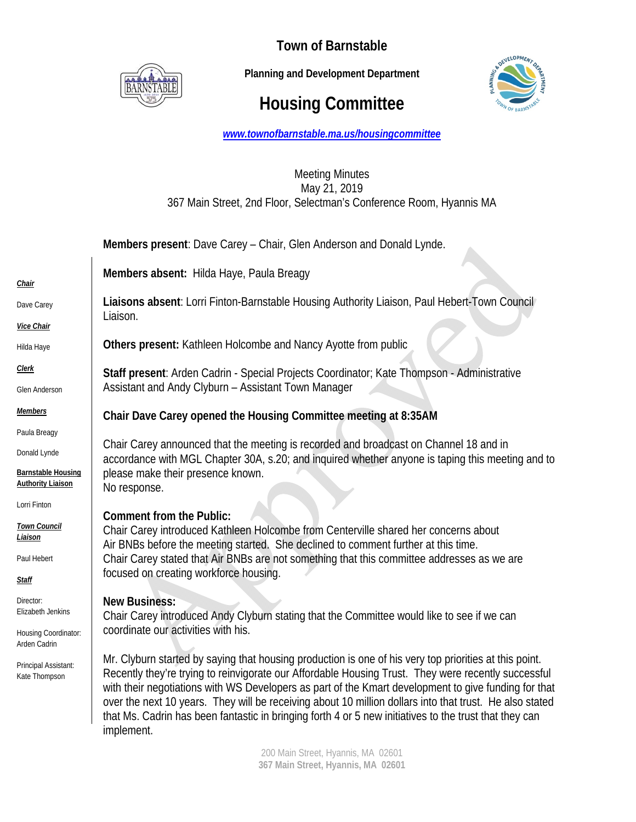

**Town of Barnstable** 

 **Planning and Development Department**

## **Housing Committee**



*www.townofbarnstable.ma.us/housingcommittee*

## Meeting Minutes May 21, 2019 367 Main Street, 2nd Floor, Selectman's Conference Room, Hyannis MA

|                                                                                       | Members present: Dave Carey - Chair, Glen Anderson and Donald Lynde.                                                                                                                                                                                                                                                                                                                                                                                                                                                                                     |
|---------------------------------------------------------------------------------------|----------------------------------------------------------------------------------------------------------------------------------------------------------------------------------------------------------------------------------------------------------------------------------------------------------------------------------------------------------------------------------------------------------------------------------------------------------------------------------------------------------------------------------------------------------|
| <b>Chair</b>                                                                          | Members absent: Hilda Haye, Paula Breagy                                                                                                                                                                                                                                                                                                                                                                                                                                                                                                                 |
| Dave Carey                                                                            | Liaisons absent: Lorri Finton-Barnstable Housing Authority Liaison, Paul Hebert-Town Council<br>Liaison.                                                                                                                                                                                                                                                                                                                                                                                                                                                 |
| Vice Chair<br>Hilda Haye                                                              | Others present: Kathleen Holcombe and Nancy Ayotte from public                                                                                                                                                                                                                                                                                                                                                                                                                                                                                           |
| <u>Clerk</u><br>Glen Anderson                                                         | Staff present: Arden Cadrin - Special Projects Coordinator; Kate Thompson - Administrative<br>Assistant and Andy Clyburn - Assistant Town Manager                                                                                                                                                                                                                                                                                                                                                                                                        |
| <b>Members</b>                                                                        | Chair Dave Carey opened the Housing Committee meeting at 8:35AM                                                                                                                                                                                                                                                                                                                                                                                                                                                                                          |
| Paula Breagy<br>Donald Lynde<br><b>Barnstable Housing</b><br><b>Authority Liaison</b> | Chair Carey announced that the meeting is recorded and broadcast on Channel 18 and in<br>accordance with MGL Chapter 30A, s.20; and inquired whether anyone is taping this meeting and to<br>please make their presence known.<br>No response.                                                                                                                                                                                                                                                                                                           |
| Lorri Finton<br><b>Town Council</b><br>Liaison<br>Paul Hebert<br><u>Staff</u>         | <b>Comment from the Public:</b><br>Chair Carey introduced Kathleen Holcombe from Centerville shared her concerns about<br>Air BNBs before the meeting started. She declined to comment further at this time.<br>Chair Carey stated that Air BNBs are not something that this committee addresses as we are<br>focused on creating workforce housing.                                                                                                                                                                                                     |
| Director:<br>Elizabeth Jenkins<br>Housing Coordinator:<br>Arden Cadrin                | <b>New Business:</b><br>Chair Carey introduced Andy Clyburn stating that the Committee would like to see if we can<br>coordinate our activities with his.                                                                                                                                                                                                                                                                                                                                                                                                |
| Principal Assistant:<br>Kate Thompson                                                 | Mr. Clyburn started by saying that housing production is one of his very top priorities at this point.<br>Recently they're trying to reinvigorate our Affordable Housing Trust. They were recently successful<br>with their negotiations with WS Developers as part of the Kmart development to give funding for that<br>over the next 10 years. They will be receiving about 10 million dollars into that trust. He also stated<br>that Ms. Cadrin has been fantastic in bringing forth 4 or 5 new initiatives to the trust that they can<br>implement. |

200 Main Street, Hyannis, MA 02601 **367 Main Street, Hyannis, MA 02601**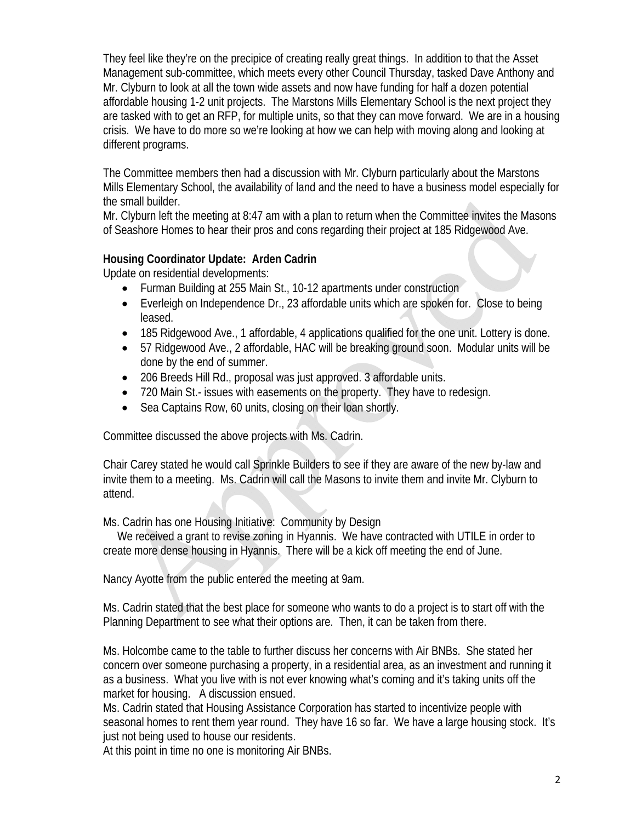They feel like they're on the precipice of creating really great things. In addition to that the Asset Management sub-committee, which meets every other Council Thursday, tasked Dave Anthony and Mr. Clyburn to look at all the town wide assets and now have funding for half a dozen potential affordable housing 1-2 unit projects. The Marstons Mills Elementary School is the next project they are tasked with to get an RFP, for multiple units, so that they can move forward. We are in a housing crisis. We have to do more so we're looking at how we can help with moving along and looking at different programs.

The Committee members then had a discussion with Mr. Clyburn particularly about the Marstons Mills Elementary School, the availability of land and the need to have a business model especially for the small builder.

Mr. Clyburn left the meeting at 8:47 am with a plan to return when the Committee invites the Masons of Seashore Homes to hear their pros and cons regarding their project at 185 Ridgewood Ave.

## **Housing Coordinator Update: Arden Cadrin**

Update on residential developments:

- Furman Building at 255 Main St., 10-12 apartments under construction
- Everleigh on Independence Dr., 23 affordable units which are spoken for. Close to being leased.
- 185 Ridgewood Ave., 1 affordable, 4 applications qualified for the one unit. Lottery is done.
- 57 Ridgewood Ave., 2 affordable, HAC will be breaking ground soon. Modular units will be done by the end of summer.
- 206 Breeds Hill Rd., proposal was just approved. 3 affordable units.
- 720 Main St.- issues with easements on the property. They have to redesign.
- Sea Captains Row, 60 units, closing on their loan shortly.

Committee discussed the above projects with Ms. Cadrin.

Chair Carey stated he would call Sprinkle Builders to see if they are aware of the new by-law and invite them to a meeting. Ms. Cadrin will call the Masons to invite them and invite Mr. Clyburn to attend.

Ms. Cadrin has one Housing Initiative: Community by Design

 We received a grant to revise zoning in Hyannis. We have contracted with UTILE in order to create more dense housing in Hyannis. There will be a kick off meeting the end of June.

Nancy Ayotte from the public entered the meeting at 9am.

Ms. Cadrin stated that the best place for someone who wants to do a project is to start off with the Planning Department to see what their options are. Then, it can be taken from there.

Ms. Holcombe came to the table to further discuss her concerns with Air BNBs. She stated her concern over someone purchasing a property, in a residential area, as an investment and running it as a business. What you live with is not ever knowing what's coming and it's taking units off the market for housing. A discussion ensued.

Ms. Cadrin stated that Housing Assistance Corporation has started to incentivize people with seasonal homes to rent them year round. They have 16 so far. We have a large housing stock. It's just not being used to house our residents.

At this point in time no one is monitoring Air BNBs.